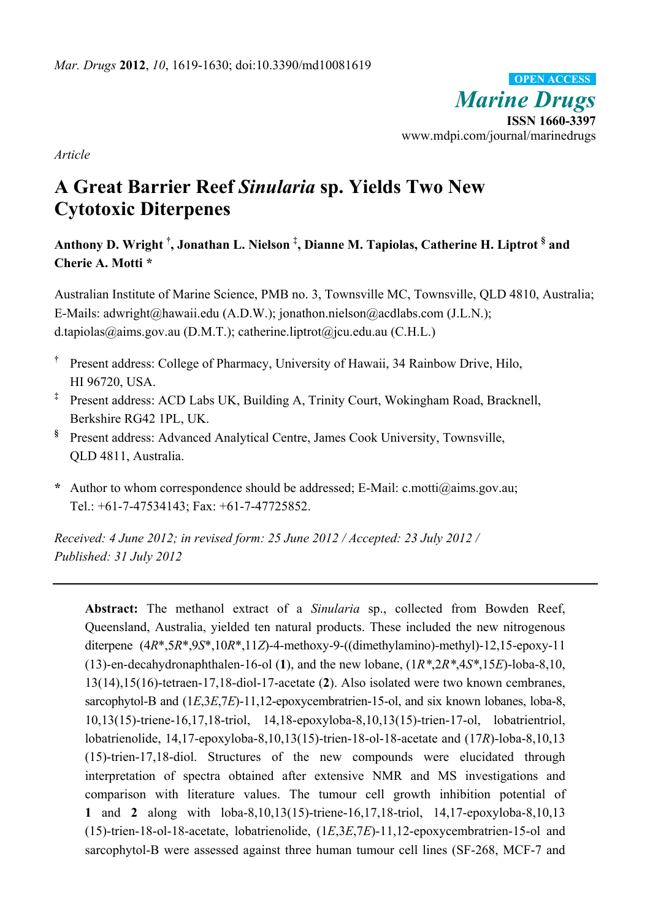*Marine Drugs* **ISSN 1660-3397**  www.mdpi.com/journal/marinedrugs **OPEN ACCESS**

*Article* 

# **A Great Barrier Reef** *Sinularia* **sp. Yields Two New Cytotoxic Diterpenes**

**Anthony D. Wright † , Jonathan L. Nielson ‡ , Dianne M. Tapiolas, Catherine H. Liptrot § and Cherie A. Motti \*** 

Australian Institute of Marine Science, PMB no. 3, Townsville MC, Townsville, QLD 4810, Australia; E-Mails: adwright@hawaii.edu (A.D.W.); jonathon.nielson@acdlabs.com (J.L.N.); d.tapiolas@aims.gov.au (D.M.T.); catherine.liptrot@jcu.edu.au (C.H.L.)

- **†** Present address: College of Pharmacy, University of Hawaii, 34 Rainbow Drive, Hilo, HI 96720, USA.
- **‡** Present address: ACD Labs UK, Building A, Trinity Court, Wokingham Road, Bracknell, Berkshire RG42 1PL, UK.
- **§** Present address: Advanced Analytical Centre, James Cook University, Townsville, QLD 4811, Australia.
- **\*** Author to whom correspondence should be addressed; E-Mail: c.motti@aims.gov.au; Tel.: +61-7-47534143; Fax: +61-7-47725852.

*Received: 4 June 2012; in revised form: 25 June 2012 / Accepted: 23 July 2012 / Published: 31 July 2012* 

**Abstract:** The methanol extract of a *Sinularia* sp., collected from Bowden Reef, Queensland, Australia, yielded ten natural products. These included the new nitrogenous diterpene (4*R*\*,5*R*\*,9*S*\*,10*R*\*,11*Z*)-4-methoxy-9-((dimethylamino)-methyl)-12,15-epoxy-11 (13)-en-decahydronaphthalen-16-ol (**1**), and the new lobane, (1*R\**,2*R\**,4*S\**,15*E*)-loba-8,10, 13(14),15(16)-tetraen-17,18-diol-17-acetate (**2**). Also isolated were two known cembranes, sarcophytol-B and (1*E*,3*E*,7*E*)-11,12-epoxycembratrien-15-ol, and six known lobanes, loba-8, 10,13(15)-triene-16,17,18-triol, 14,18-epoxyloba-8,10,13(15)-trien-17-ol, lobatrientriol, lobatrienolide, 14,17-epoxyloba-8,10,13(15)-trien-18-ol-18-acetate and (17*R*)-loba-8,10,13 (15)-trien-17,18-diol. Structures of the new compounds were elucidated through interpretation of spectra obtained after extensive NMR and MS investigations and comparison with literature values. The tumour cell growth inhibition potential of **1** and **2** along with loba-8,10,13(15)-triene-16,17,18-triol, 14,17-epoxyloba-8,10,13 (15)-trien-18-ol-18-acetate, lobatrienolide, (1*E*,3*E*,7*E*)-11,12-epoxycembratrien-15-ol and sarcophytol-B were assessed against three human tumour cell lines (SF-268, MCF-7 and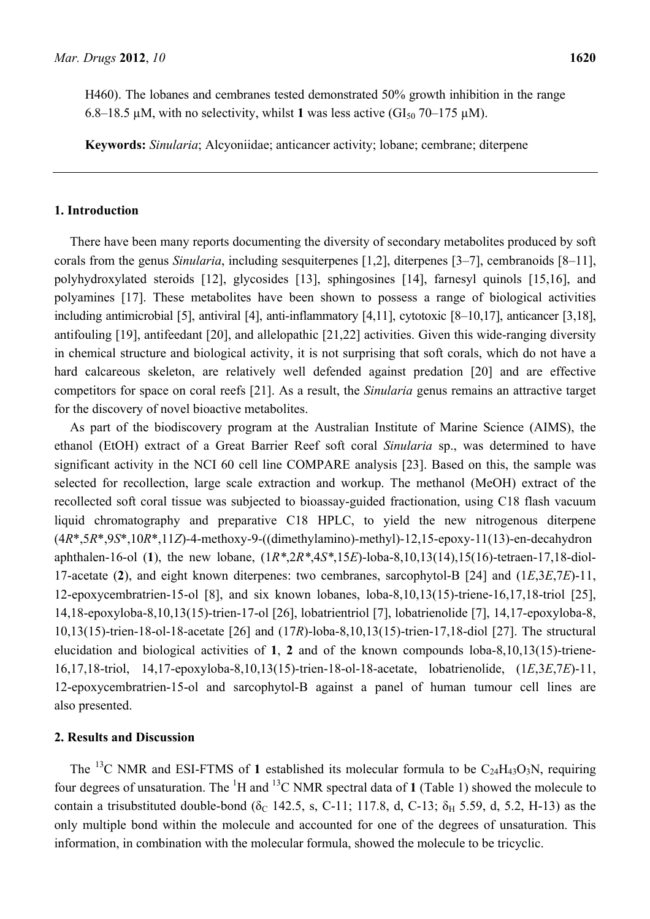H460). The lobanes and cembranes tested demonstrated 50% growth inhibition in the range 6.8–18.5  $\mu$ M, with no selectivity, whilst 1 was less active (GI<sub>50</sub> 70–175  $\mu$ M).

**Keywords:** *Sinularia*; Alcyoniidae; anticancer activity; lobane; cembrane; diterpene

#### **1. Introduction**

There have been many reports documenting the diversity of secondary metabolites produced by soft corals from the genus *Sinularia*, including sesquiterpenes [1,2], diterpenes [3–7], cembranoids [8–11], polyhydroxylated steroids [12], glycosides [13], sphingosines [14], farnesyl quinols [15,16], and polyamines [17]. These metabolites have been shown to possess a range of biological activities including antimicrobial [5], antiviral [4], anti-inflammatory [4,11], cytotoxic [8–10,17], anticancer [3,18], antifouling [19], antifeedant [20], and allelopathic [21,22] activities. Given this wide-ranging diversity in chemical structure and biological activity, it is not surprising that soft corals, which do not have a hard calcareous skeleton, are relatively well defended against predation [20] and are effective competitors for space on coral reefs [21]. As a result, the *Sinularia* genus remains an attractive target for the discovery of novel bioactive metabolites.

As part of the biodiscovery program at the Australian Institute of Marine Science (AIMS), the ethanol (EtOH) extract of a Great Barrier Reef soft coral *Sinularia* sp., was determined to have significant activity in the NCI 60 cell line COMPARE analysis [23]. Based on this, the sample was selected for recollection, large scale extraction and workup. The methanol (MeOH) extract of the recollected soft coral tissue was subjected to bioassay-guided fractionation, using C18 flash vacuum liquid chromatography and preparative C18 HPLC, to yield the new nitrogenous diterpene (4*R*\*,5*R*\*,9*S*\*,10*R*\*,11*Z*)-4-methoxy-9-((dimethylamino)-methyl)-12,15-epoxy-11(13)-en-decahydron aphthalen-16-ol (**1**), the new lobane, (1*R\**,2*R\**,4*S\**,15*E*)-loba-8,10,13(14),15(16)-tetraen-17,18-diol-17-acetate (**2**), and eight known diterpenes: two cembranes, sarcophytol-B [24] and (1*E*,3*E*,7*E*)-11, 12-epoxycembratrien-15-ol [8], and six known lobanes, loba-8,10,13(15)-triene-16,17,18-triol [25], 14,18-epoxyloba-8,10,13(15)-trien-17-ol [26], lobatrientriol [7], lobatrienolide [7], 14,17-epoxyloba-8, 10,13(15)-trien-18-ol-18-acetate [26] and (17*R*)-loba-8,10,13(15)-trien-17,18-diol [27]. The structural elucidation and biological activities of **1**, **2** and of the known compounds loba-8,10,13(15)-triene-16,17,18-triol, 14,17-epoxyloba-8,10,13(15)-trien-18-ol-18-acetate, lobatrienolide, (1*E*,3*E*,7*E*)-11, 12-epoxycembratrien-15-ol and sarcophytol-B against a panel of human tumour cell lines are also presented.

#### **2. Results and Discussion**

The <sup>13</sup>C NMR and ESI-FTMS of 1 established its molecular formula to be  $C_{24}H_{43}O_3N$ , requiring four degrees of unsaturation. The  ${}^{1}H$  and  ${}^{13}C$  NMR spectral data of 1 (Table 1) showed the molecule to contain a trisubstituted double-bond ( $\delta$  142.5, s, C-11; 117.8, d, C-13;  $\delta$ <sub>H</sub> 5.59, d, 5.2, H-13) as the only multiple bond within the molecule and accounted for one of the degrees of unsaturation. This information, in combination with the molecular formula, showed the molecule to be tricyclic.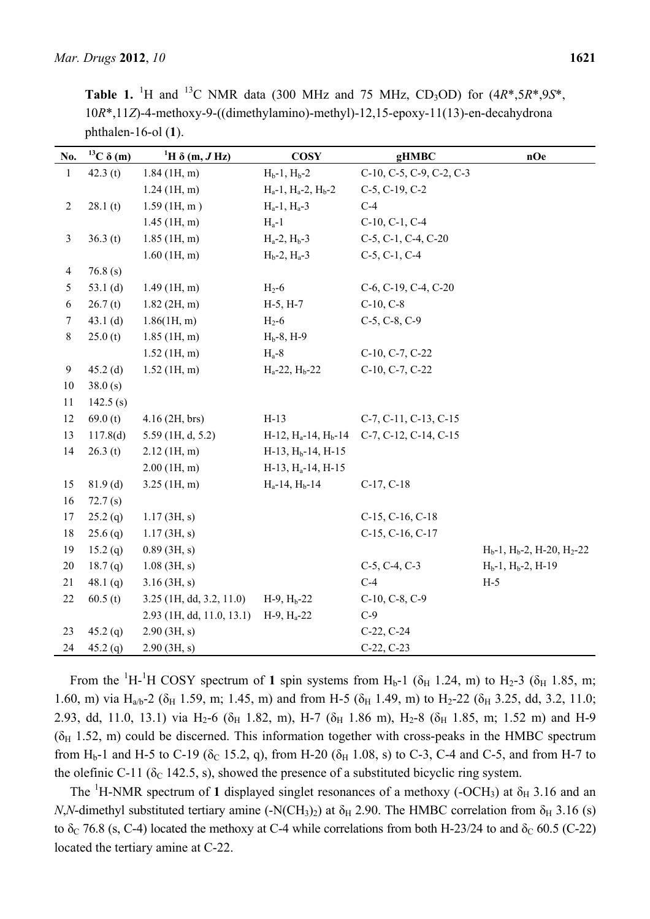| phthalen-16-ol $(1)$ . |                    |                                   |                              |                                |                                         |
|------------------------|--------------------|-----------------------------------|------------------------------|--------------------------------|-----------------------------------------|
| No.                    | $^{13}C \delta(m)$ | <sup>1</sup> H $\delta$ (m, J Hz) | <b>COSY</b>                  | gHMBC                          | nOe                                     |
| $\mathbf{1}$           | 42.3 $(t)$         | $1.84$ (1H, m)                    | $H_b-1$ , $H_b-2$            | C-10, C-5, C-9, C-2, C-3       |                                         |
|                        |                    | $1.24$ (1H, m)                    | $H_a-1$ , $H_a-2$ , $H_b-2$  | $C-5, C-19, C-2$               |                                         |
| $\overline{c}$         | 28.1(t)            | $1.59$ (1H, m)                    | $H_a-1$ , $H_a-3$            | $C-4$                          |                                         |
|                        |                    | $1.45$ (1H, m)                    | $H_a-1$                      | C-10, C-1, C-4                 |                                         |
| $\mathfrak{Z}$         | 36.3(t)            | $1.85$ (1H, m)                    | $H_a-2$ , $H_b-3$            | $C-5$ , $C-1$ , $C-4$ , $C-20$ |                                         |
|                        |                    | $1.60$ (1H, m)                    | $H_b-2$ , $H_a-3$            | $C-5, C-1, C-4$                |                                         |
| $\overline{4}$         | 76.8(s)            |                                   |                              |                                |                                         |
| 5                      | 53.1 $(d)$         | $1.49$ (1H, m)                    | $H_2-6$                      | C-6, C-19, C-4, C-20           |                                         |
| 6                      | 26.7(t)            | $1.82$ (2H, m)                    | $H-5, H-7$                   | $C-10, C-8$                    |                                         |
| $\tau$                 | 43.1 $(d)$         | 1.86(1H, m)                       | $H_2$ -6                     | $C-5, C-8, C-9$                |                                         |
| $8\,$                  | 25.0(t)            | $1.85$ (1H, m)                    | $H_b-8$ , H-9                |                                |                                         |
|                        |                    | $1.52$ (1H, m)                    | $H_a-8$                      | C-10, C-7, C-22                |                                         |
| 9                      | $45.2$ (d)         | $1.52$ (1H, m)                    | $H_a-22$ , $H_b-22$          | C-10, C-7, C-22                |                                         |
| 10                     | 38.0(s)            |                                   |                              |                                |                                         |
| 11                     | 142.5(s)           |                                   |                              |                                |                                         |
| 12                     | 69.0(t)            | $4.16$ (2H, brs)                  | $H-13$                       | C-7, C-11, C-13, C-15          |                                         |
| 13                     | 117.8(d)           | $5.59$ (1H, d, 5.2)               | $H-12$ , $H_a-14$ , $H_b-14$ | C-7, C-12, C-14, C-15          |                                         |
| 14                     | 26.3(t)            | $2.12$ (1H, m)                    | $H-13$ , $Hb-14$ , $H-15$    |                                |                                         |
|                        |                    | $2.00$ (1H, m)                    | $H-13$ , $H_a-14$ , $H-15$   |                                |                                         |
| 15                     | $81.9$ (d)         | $3.25$ (1H, m)                    | $H_a-14$ , $H_b-14$          | $C-17, C-18$                   |                                         |
| 16                     | 72.7(s)            |                                   |                              |                                |                                         |
| 17                     | $25.2$ (q)         | 1.17(3H, s)                       |                              | $C-15$ , $C-16$ , $C-18$       |                                         |
| 18                     | $25.6$ (q)         | $1.17$ (3H, s)                    |                              | C-15, C-16, C-17               |                                         |
| 19                     | 15.2(q)            | $0.89$ (3H, s)                    |                              |                                | $H_b-1$ , $H_b-2$ , $H_2-20$ , $H_2-22$ |
| 20                     | 18.7(q)            | $1.08$ (3H, s)                    |                              | $C-5, C-4, C-3$                | $H_b-1$ , $H_b-2$ , $H-19$              |
| 21                     | 48.1 $(q)$         | $3.16$ (3H, s)                    |                              | $C-4$                          | $H-5$                                   |
| 22                     | 60.5(t)            | $3.25$ (1H, dd, 3.2, 11.0)        | $H-9$ , $Hb-22$              | $C-10, C-8, C-9$               |                                         |
|                        |                    | 2.93 (1H, dd, 11.0, 13.1)         | $H-9$ , $H_a-22$             | $C-9$                          |                                         |
| 23                     | 45.2(q)            | 2.90(3H, s)                       |                              | $C-22, C-24$                   |                                         |
| 24                     | 45.2(q)            | 2.90(3H, s)                       |                              | $C-22, C-23$                   |                                         |

**Table 1.** <sup>1</sup>H and <sup>13</sup>C NMR data (300 MHz and 75 MHz, CD<sub>3</sub>OD) for  $(4R^*5R^*9S^*$ , 10*R*\*,11*Z*)-4-methoxy-9-((dimethylamino)-methyl)-12,15-epoxy-11(13)-en-decahydrona

From the <sup>1</sup>H-<sup>1</sup>H COSY spectrum of 1 spin systems from H<sub>b</sub>-1 ( $\delta$ <sub>H</sub> 1.24, m) to H<sub>2</sub>-3 ( $\delta$ <sub>H</sub> 1.85, m; 1.60, m) via H<sub>a/b</sub>-2 ( $\delta$ <sub>H</sub> 1.59, m; 1.45, m) and from H-5 ( $\delta$ <sub>H</sub> 1.49, m) to H<sub>2</sub>-22 ( $\delta$ <sub>H</sub> 3.25, dd, 3.2, 11.0; 2.93, dd, 11.0, 13.1) via H<sub>2</sub>-6 ( $\delta$ <sub>H</sub> 1.82, m), H-7 ( $\delta$ <sub>H</sub> 1.86 m), H<sub>2</sub>-8 ( $\delta$ <sub>H</sub> 1.85, m; 1.52 m) and H-9  $(\delta_H 1.52, m)$  could be discerned. This information together with cross-peaks in the HMBC spectrum from H<sub>b</sub>-1 and H-5 to C-19 ( $\delta$ <sub>C</sub> 15.2, q), from H-20 ( $\delta$ <sub>H</sub> 1.08, s) to C-3, C-4 and C-5, and from H-7 to the olefinic C-11 ( $\delta$ <sub>C</sub> 142.5, s), showed the presence of a substituted bicyclic ring system.

The <sup>1</sup>H-NMR spectrum of 1 displayed singlet resonances of a methoxy (-OCH<sub>3</sub>) at  $\delta_H$  3.16 and an *N*,*N*-dimethyl substituted tertiary amine (-N(CH<sub>3</sub>)<sub>2</sub>) at  $\delta_H$  2.90. The HMBC correlation from  $\delta_H$  3.16 (s) to δ<sub>C</sub> 76.8 (s, C-4) located the methoxy at C-4 while correlations from both H-23/24 to and δ<sub>C</sub> 60.5 (C-22) located the tertiary amine at C-22.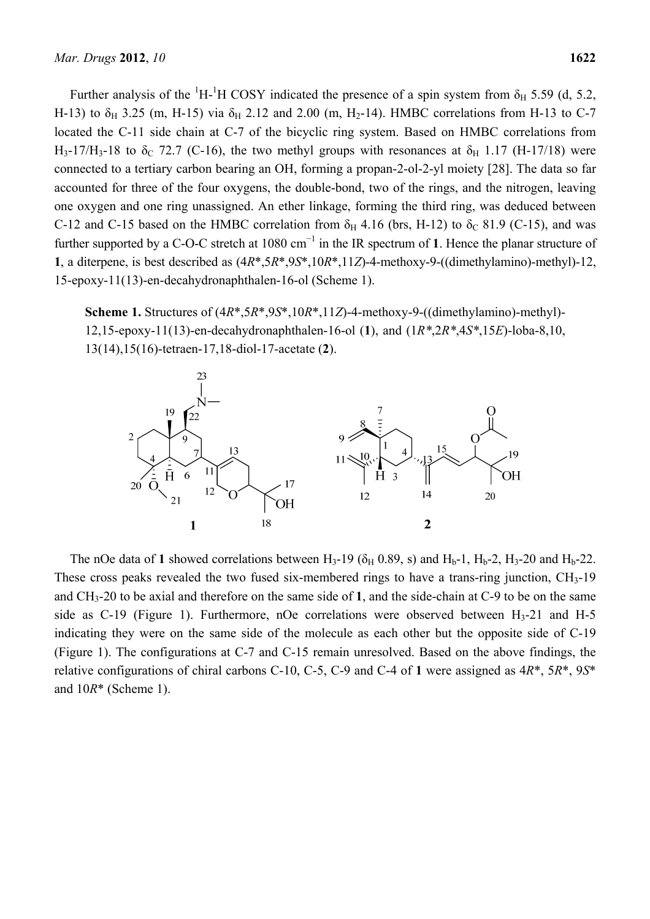Further analysis of the <sup>1</sup>H-<sup>1</sup>H COSY indicated the presence of a spin system from  $\delta$ <sub>H</sub> 5.59 (d, 5.2, H-13) to  $\delta_H$  3.25 (m, H-15) via  $\delta_H$  2.12 and 2.00 (m, H<sub>2</sub>-14). HMBC correlations from H-13 to C-7 located the C-11 side chain at C-7 of the bicyclic ring system. Based on HMBC correlations from H<sub>3</sub>-17/H<sub>3</sub>-18 to  $\delta$ <sub>C</sub> 72.7 (C-16), the two methyl groups with resonances at  $\delta$ <sub>H</sub> 1.17 (H-17/18) were connected to a tertiary carbon bearing an OH, forming a propan-2-ol-2-yl moiety [28]. The data so far accounted for three of the four oxygens, the double-bond, two of the rings, and the nitrogen, leaving one oxygen and one ring unassigned. An ether linkage, forming the third ring, was deduced between C-12 and C-15 based on the HMBC correlation from  $\delta_H$  4.16 (brs, H-12) to  $\delta_C$  81.9 (C-15), and was further supported by a C-O-C stretch at 1080 cm<sup>-1</sup> in the IR spectrum of 1. Hence the planar structure of **1**, a diterpene, is best described as (4*R*\*,5*R*\*,9*S*\*,10*R*\*,11*Z*)-4-methoxy-9-((dimethylamino)-methyl)-12, 15-epoxy-11(13)-en-decahydronaphthalen-16-ol (Scheme 1).

**Scheme 1.** Structures of (4*R*\*,5*R*\*,9*S*\*,10*R*\*,11*Z*)-4-methoxy-9-((dimethylamino)-methyl)- 12,15-epoxy-11(13)-en-decahydronaphthalen-16-ol (**1**), and (1*R\**,2*R\**,4*S\**,15*E*)-loba-8,10, 13(14),15(16)-tetraen-17,18-diol-17-acetate (**2**).



The nOe data of 1 showed correlations between  $H_3$ -19 ( $\delta_H$  0.89, s) and  $H_b$ -1,  $H_b$ -2,  $H_3$ -20 and  $H_b$ -22. These cross peaks revealed the two fused six-membered rings to have a trans-ring junction, CH<sub>3</sub>-19 and CH3-20 to be axial and therefore on the same side of **1**, and the side-chain at C-9 to be on the same side as  $C-19$  (Figure 1). Furthermore, nOe correlations were observed between  $H_3-21$  and H-5 indicating they were on the same side of the molecule as each other but the opposite side of C-19 (Figure 1). The configurations at C-7 and C-15 remain unresolved. Based on the above findings, the relative configurations of chiral carbons C-10, C-5, C-9 and C-4 of **1** were assigned as 4*R*\*, 5*R*\*, 9*S*\* and 10*R*\* (Scheme 1).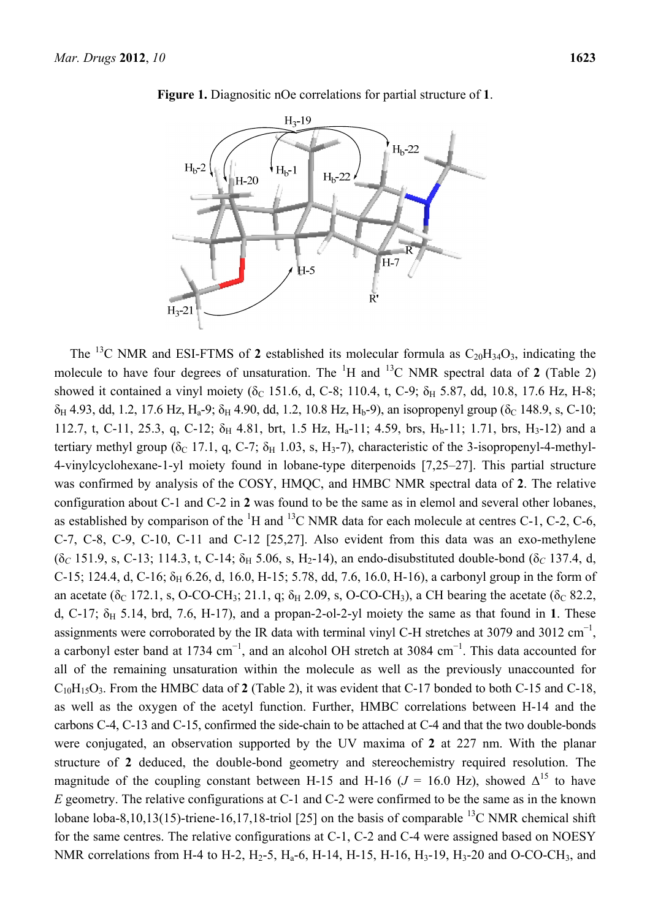

**Figure 1.** Diagnositic nOe correlations for partial structure of **1**.

The <sup>13</sup>C NMR and ESI-FTMS of 2 established its molecular formula as  $C_{20}H_{34}O_3$ , indicating the molecule to have four degrees of unsaturation. The  ${}^{1}H$  and  ${}^{13}C$  NMR spectral data of 2 (Table 2) showed it contained a vinyl moiety ( $\delta_c$  151.6, d, C-8; 110.4, t, C-9;  $\delta_H$  5.87, dd, 10.8, 17.6 Hz, H-8;  $\delta_H$  4.93, dd, 1.2, 17.6 Hz, H<sub>a</sub>-9;  $\delta_H$  4.90, dd, 1.2, 10.8 Hz, H<sub>b</sub>-9), an isopropenyl group ( $\delta_C$  148.9, s, C-10; 112.7, t, C-11, 25.3, q, C-12;  $\delta_H$  4.81, brt, 1.5 Hz, H<sub>a</sub>-11; 4.59, brs, H<sub>b</sub>-11; 1.71, brs, H<sub>3</sub>-12) and a tertiary methyl group ( $\delta_c$  17.1, q, C-7;  $\delta_H$  1.03, s, H<sub>3</sub>-7), characteristic of the 3-isopropenyl-4-methyl-4-vinylcyclohexane-1-yl moiety found in lobane-type diterpenoids [7,25–27]. This partial structure was confirmed by analysis of the COSY, HMQC, and HMBC NMR spectral data of **2**. The relative configuration about C-1 and C-2 in **2** was found to be the same as in elemol and several other lobanes, as established by comparison of the  ${}^{1}H$  and  ${}^{13}C$  NMR data for each molecule at centres C-1, C-2, C-6, C-7, C-8, C-9, C-10, C-11 and C-12 [25,27]. Also evident from this data was an exo-methylene  $(δ<sub>C</sub> 151.9, s, C-13; 114.3, t, C-14; δ<sub>H</sub> 5.06, s, H<sub>2</sub>-14)$ , an endo-disubstituted double-bond  $(δ<sub>C</sub> 137.4, d,$ C-15; 124.4, d, C-16;  $\delta_H$  6.26, d, 16.0, H-15; 5.78, dd, 7.6, 16.0, H-16), a carbonyl group in the form of an acetate ( $\delta_c$  172.1, s, O-CO-CH<sub>3</sub>; 21.1, q;  $\delta_H$  2.09, s, O-CO-CH<sub>3</sub>), a CH bearing the acetate ( $\delta_c$  82.2, d, C-17;  $\delta_H$  5.14, brd, 7.6, H-17), and a propan-2-ol-2-yl moiety the same as that found in 1. These assignments were corroborated by the IR data with terminal vinyl C-H stretches at 3079 and 3012 cm<sup>-1</sup>, a carbonyl ester band at 1734 cm<sup>-1</sup>, and an alcohol OH stretch at 3084 cm<sup>-1</sup>. This data accounted for all of the remaining unsaturation within the molecule as well as the previously unaccounted for C10H15O3. From the HMBC data of **2** (Table 2), it was evident that C-17 bonded to both C-15 and C-18, as well as the oxygen of the acetyl function. Further, HMBC correlations between H-14 and the carbons C-4, C-13 and C-15, confirmed the side-chain to be attached at C-4 and that the two double-bonds were conjugated, an observation supported by the UV maxima of **2** at 227 nm. With the planar structure of **2** deduced, the double-bond geometry and stereochemistry required resolution. The magnitude of the coupling constant between H-15 and H-16 ( $J = 16.0$  Hz), showed  $\Delta^{15}$  to have *E* geometry. The relative configurations at C-1 and C-2 were confirmed to be the same as in the known lobane loba-8,10,13(15)-triene-16,17,18-triol [25] on the basis of comparable <sup>13</sup>C NMR chemical shift for the same centres. The relative configurations at C-1, C-2 and C-4 were assigned based on NOESY NMR correlations from H-4 to H-2,  $H_2$ -5,  $H_a$ -6, H-14, H-15, H-16,  $H_3$ -19,  $H_3$ -20 and O-CO-CH<sub>3</sub>, and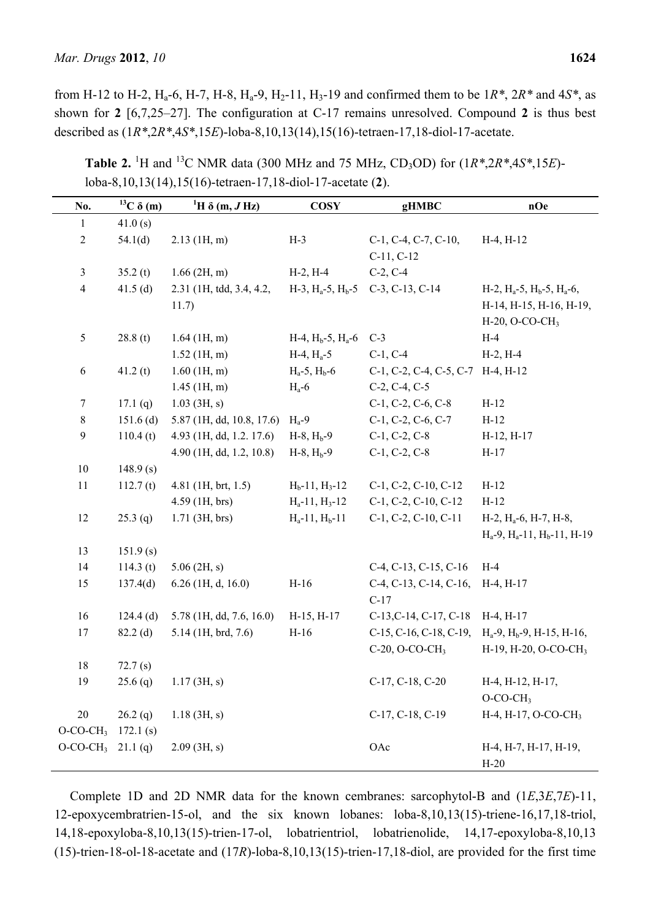from H-12 to H-2,  $H_a$ -6, H-7, H-8,  $H_a$ -9,  $H_2$ -11,  $H_3$ -19 and confirmed them to be  $1R^*$ ,  $2R^*$  and  $4S^*$ , as shown for **2** [6,7,25–27]. The configuration at C-17 remains unresolved. Compound **2** is thus best described as (1*R\**,2*R\**,4*S\**,15*E*)-loba-8,10,13(14),15(16)-tetraen-17,18-diol-17-acetate.

| No.                     | $^{13}C \delta(m)$ | ${}^{1}H \delta$ (m, J Hz) | <b>COSY</b>             | gHMBC                                     | nOe                                                     |
|-------------------------|--------------------|----------------------------|-------------------------|-------------------------------------------|---------------------------------------------------------|
| $\mathbf{1}$            | 41.0(s)            |                            |                         |                                           |                                                         |
| $\sqrt{2}$              | 54.1(d)            | $2.13$ (1H, m)             | $H-3$                   | $C-1$ , $C-4$ , $C-7$ , $C-10$ ,          | $H-4, H-12$                                             |
|                         |                    |                            |                         | $C-11, C-12$                              |                                                         |
| $\mathfrak{Z}$          | 35.2(t)            | $1.66$ (2H, m)             | $H-2, H-4$              | $C-2, C-4$                                |                                                         |
| $\overline{4}$          | 41.5 $(d)$         | 2.31 (1H, tdd, 3.4, 4.2,   |                         | $H-3$ , $H_a-5$ , $H_b-5$ C-3, C-13, C-14 | $H-2$ , $H_a-5$ , $H_b-5$ , $H_a-6$ ,                   |
|                         |                    | 11.7)                      |                         |                                           | H-14, H-15, H-16, H-19,                                 |
|                         |                    |                            |                         |                                           | H-20, O-CO-CH <sub>3</sub>                              |
| 5                       | 28.8(t)            | $1.64$ (1H, m)             | $H-4$ , $Hb-5$ , $Ha-6$ | $C-3$                                     | $H-4$                                                   |
|                         |                    | $1.52$ (1H, m)             | $H-4, H_a-5$            | $C-1, C-4$                                | $H-2, H-4$                                              |
| 6                       | 41.2(t)            | $1.60$ (1H, m)             | $H_a-5$ , $H_b-6$       | C-1, C-2, C-4, C-5, C-7 H-4, H-12         |                                                         |
|                         |                    | $1.45$ (1H, m)             | $H_a$ -6                | $C-2, C-4, C-5$                           |                                                         |
| $\tau$                  | 17.1 $(q)$         | $1.03$ (3H, s)             |                         | $C-1$ , $C-2$ , $C-6$ , $C-8$             | $H-12$                                                  |
| $8\,$                   | $151.6$ (d)        | 5.87 (1H, dd, 10.8, 17.6)  | $H_a-9$                 | $C-1$ , $C-2$ , $C-6$ , $C-7$             | $H-12$                                                  |
| $\boldsymbol{9}$        | 110.4(t)           | 4.93 (1H, dd, 1.2. 17.6)   | $H-8$ , $Hb-9$          | $C-1, C-2, C-8$                           | $H-12, H-17$                                            |
|                         |                    | 4.90 (1H, dd, 1.2, 10.8)   | $H-8$ , $H_b-9$         | $C-1, C-2, C-8$                           | $H-17$                                                  |
| $10\,$                  | 148.9(s)           |                            |                         |                                           |                                                         |
| 11                      | 112.7(t)           | $4.81$ (1H, brt, 1.5)      | $H_b-11, H_3-12$        | C-1, C-2, C-10, C-12                      | $H-12$                                                  |
|                         |                    | $4.59$ (1H, brs)           | $H_a-11$ , $H_3-12$     | C-1, C-2, C-10, C-12                      | $H-12$                                                  |
| 12                      | $25.3$ (q)         | $1.71$ (3H, brs)           | $H_a-11$ , $H_b-11$     | C-1, C-2, C-10, C-11                      | $H-2$ , $H_a-6$ , $H-7$ , $H-8$ ,                       |
|                         |                    |                            |                         |                                           | $H_a-9$ , $H_a-11$ , $H_b-11$ , $H-19$                  |
| 13                      | 151.9(s)           |                            |                         |                                           |                                                         |
| 14                      | 114.3(t)           | $5.06$ (2H, s)             |                         | C-4, C-13, C-15, C-16                     | $H-4$                                                   |
| 15                      | 137.4(d)           | $6.26$ (1H, d, 16.0)       | $H-16$                  | $C-4$ , $C-13$ , $C-14$ , $C-16$ ,        | $H-4, H-17$                                             |
|                         |                    |                            |                         | $C-17$                                    |                                                         |
| 16                      | $124.4$ (d)        | 5.78 (1H, dd, 7.6, 16.0)   | $H-15, H-17$            | C-13, C-14, C-17, C-18 H-4, H-17          |                                                         |
| 17                      | $82.2$ (d)         | 5.14 (1H, brd, 7.6)        | $H-16$                  |                                           | C-15, C-16, C-18, C-19, $H_a-9$ , $H_b-9$ , H-15, H-16, |
|                         |                    |                            |                         | $C-20$ , O-CO-CH <sub>3</sub>             | H-19, H-20, O-CO-CH <sub>3</sub>                        |
| $18\,$                  | 72.7(s)            |                            |                         |                                           |                                                         |
| 19                      | $25.6$ (q)         | 1.17(3H, s)                |                         | $C-17, C-18, C-20$                        | $H-4$ , $H-12$ , $H-17$ ,                               |
|                         |                    |                            |                         |                                           | $O$ -CO-CH <sub>3</sub>                                 |
| 20                      | 26.2(q)            | $1.18$ (3H, s)             |                         | C-17, C-18, C-19                          | H-4, H-17, O-CO-CH <sub>3</sub>                         |
| $O$ -CO-CH <sub>3</sub> | 172.1(s)           |                            |                         |                                           |                                                         |
| $O-CO-CH_3$ 21.1(q)     |                    | $2.09$ (3H, s)             |                         | OAc                                       | H-4, H-7, H-17, H-19,<br>$H-20$                         |

**Table 2.** <sup>1</sup>H and <sup>13</sup>C NMR data (300 MHz and 75 MHz, CD<sub>3</sub>OD) for  $(1R^*2R^*4S^*15E)$ loba-8,10,13(14),15(16)-tetraen-17,18-diol-17-acetate (**2**).

Complete 1D and 2D NMR data for the known cembranes: sarcophytol-B and (1*E*,3*E*,7*E*)-11, 12-epoxycembratrien-15-ol, and the six known lobanes: loba-8,10,13(15)-triene-16,17,18-triol, 14,18-epoxyloba-8,10,13(15)-trien-17-ol, lobatrientriol, lobatrienolide, 14,17-epoxyloba-8,10,13 (15)-trien-18-ol-18-acetate and (17*R*)-loba-8,10,13(15)-trien-17,18-diol, are provided for the first time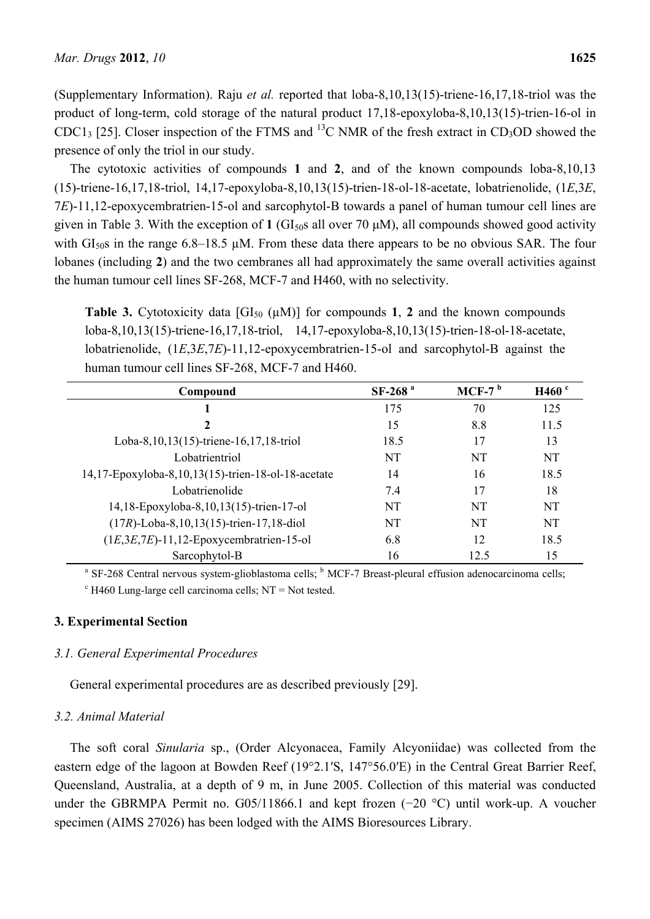(Supplementary Information). Raju *et al.* reported that loba-8,10,13(15)-triene-16,17,18-triol was the product of long-term, cold storage of the natural product 17,18-epoxyloba-8,10,13(15)-trien-16-ol in CDC13 [25]. Closer inspection of the FTMS and <sup>13</sup>C NMR of the fresh extract in CD<sub>3</sub>OD showed the presence of only the triol in our study.

The cytotoxic activities of compounds **1** and **2**, and of the known compounds loba-8,10,13 (15)-triene-16,17,18-triol, 14,17-epoxyloba-8,10,13(15)-trien-18-ol-18-acetate, lobatrienolide, (1*E*,3*E*, 7*E*)-11,12-epoxycembratrien-15-ol and sarcophytol-B towards a panel of human tumour cell lines are given in Table 3. With the exception of  $1$  (GI<sub>50</sub>s all over 70  $\mu$ M), all compounds showed good activity with  $GI<sub>50</sub>S$  in the range 6.8–18.5 µM. From these data there appears to be no obvious SAR. The four lobanes (including **2**) and the two cembranes all had approximately the same overall activities against the human tumour cell lines SF-268, MCF-7 and H460, with no selectivity.

**Table 3.** Cytotoxicity data  $[GI_{50} (\mu M)]$  for compounds 1, 2 and the known compounds loba-8,10,13(15)-triene-16,17,18-triol, 14,17-epoxyloba-8,10,13(15)-trien-18-ol-18-acetate, lobatrienolide, (1*E*,3*E*,7*E*)-11,12-epoxycembratrien-15-ol and sarcophytol-B against the human tumour cell lines SF-268, MCF-7 and H460.

| Compound                                           | $SF-268$ <sup>a</sup> | MCF-7 $b$ | H460 <sup>c</sup> |
|----------------------------------------------------|-----------------------|-----------|-------------------|
|                                                    | 175                   | 70        | 125               |
| 2                                                  | 15                    | 8.8       | 11.5              |
| Loba-8, 10, 13(15)-triene-16, 17, 18-triol         | 18.5                  | 17        | 13                |
| Lobatrientriol                                     | NT                    | NT        | NT                |
| 14,17-Epoxyloba-8,10,13(15)-trien-18-ol-18-acetate | 14                    | 16        | 18.5              |
| Lobatrienolide                                     | 74                    | 17        | 18                |
| 14,18-Epoxyloba-8,10,13(15)-trien-17-ol            | NT                    | NT        | NT                |
| $(17R)$ -Loba-8, 10, 13(15)-trien-17, 18-diol      | NT                    | NT        | NT                |
| $(1E, 3E, 7E)$ -11,12-Epoxycembratrien-15-ol       | 6.8                   | 12        | 18.5              |
| Sarcophytol-B                                      | 16                    | 12.5      | 15                |

<sup>a</sup> SF-268 Central nervous system-glioblastoma cells; <sup>b</sup> MCF-7 Breast-pleural effusion adenocarcinoma cells;

 $c$  H460 Lung-large cell carcinoma cells; NT = Not tested.

# **3. Experimental Section**

#### *3.1. General Experimental Procedures*

General experimental procedures are as described previously [29].

# *3.2. Animal Material*

The soft coral *Sinularia* sp., (Order Alcyonacea, Family Alcyoniidae) was collected from the eastern edge of the lagoon at Bowden Reef (19°2.1′S, 147°56.0′E) in the Central Great Barrier Reef, Queensland, Australia, at a depth of 9 m, in June 2005. Collection of this material was conducted under the GBRMPA Permit no. G05/11866.1 and kept frozen (−20 °C) until work-up. A voucher specimen (AIMS 27026) has been lodged with the AIMS Bioresources Library.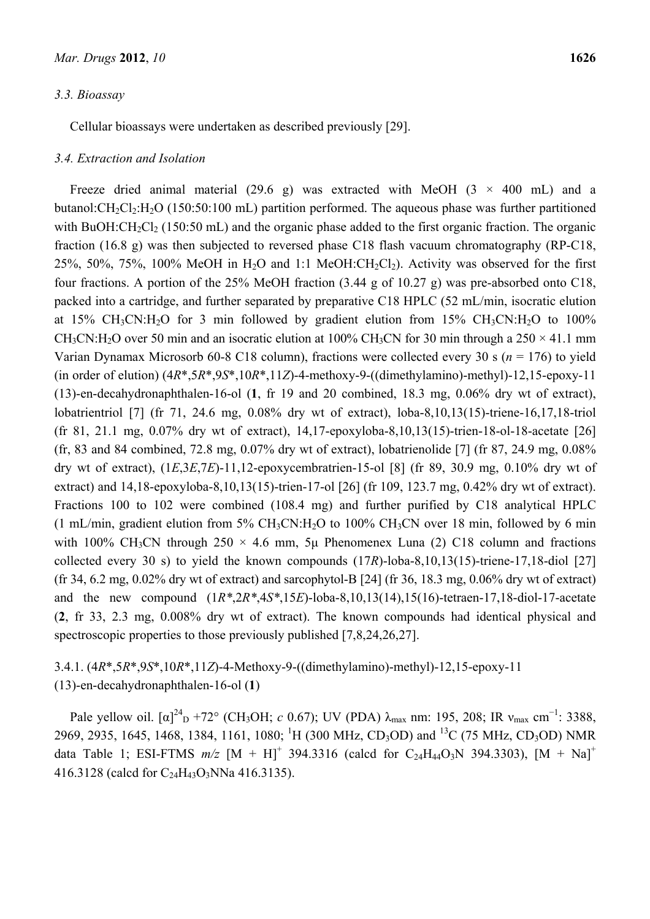#### *3.3. Bioassay*

Cellular bioassays were undertaken as described previously [29].

#### *3.4. Extraction and Isolation*

Freeze dried animal material (29.6 g) was extracted with MeOH (3  $\times$  400 mL) and a butanol: $CH_2Cl_2:H_2O$  (150:50:100 mL) partition performed. The aqueous phase was further partitioned with BuOH: $CH_2Cl_2$  (150:50 mL) and the organic phase added to the first organic fraction. The organic fraction (16.8 g) was then subjected to reversed phase C18 flash vacuum chromatography (RP-C18,  $25\%$ ,  $50\%$ ,  $75\%$ ,  $100\%$  MeOH in H<sub>2</sub>O and 1:1 MeOH:CH<sub>2</sub>Cl<sub>2</sub>). Activity was observed for the first four fractions. A portion of the 25% MeOH fraction (3.44 g of 10.27 g) was pre-absorbed onto C18, packed into a cartridge, and further separated by preparative C18 HPLC (52 mL/min, isocratic elution at 15% CH<sub>3</sub>CN:H<sub>2</sub>O for 3 min followed by gradient elution from 15% CH<sub>3</sub>CN:H<sub>2</sub>O to 100% CH<sub>3</sub>CN:H<sub>2</sub>O over 50 min and an isocratic elution at 100% CH<sub>3</sub>CN for 30 min through a  $250 \times 41.1$  mm Varian Dynamax Microsorb 60-8 C18 column), fractions were collected every 30 s (*n* = 176) to yield (in order of elution) (4*R*\*,5*R*\*,9*S*\*,10*R*\*,11*Z*)-4-methoxy-9-((dimethylamino)-methyl)-12,15-epoxy-11 (13)-en-decahydronaphthalen-16-ol (**1**, fr 19 and 20 combined, 18.3 mg, 0.06% dry wt of extract), lobatrientriol [7] (fr 71, 24.6 mg, 0.08% dry wt of extract), loba-8,10,13(15)-triene-16,17,18-triol (fr 81, 21.1 mg, 0.07% dry wt of extract), 14,17-epoxyloba-8,10,13(15)-trien-18-ol-18-acetate [26] (fr, 83 and 84 combined, 72.8 mg, 0.07% dry wt of extract), lobatrienolide [7] (fr 87, 24.9 mg, 0.08% dry wt of extract), (1*E*,3*E*,7*E*)-11,12-epoxycembratrien-15-ol [8] (fr 89, 30.9 mg, 0.10% dry wt of extract) and 14,18-epoxyloba-8,10,13(15)-trien-17-ol [26] (fr 109, 123.7 mg, 0.42% dry wt of extract). Fractions 100 to 102 were combined (108.4 mg) and further purified by C18 analytical HPLC (1 mL/min, gradient elution from 5%  $CH_3CN:H_2O$  to 100%  $CH_3CN$  over 18 min, followed by 6 min with 100% CH<sub>3</sub>CN through  $250 \times 4.6$  mm,  $5\mu$  Phenomenex Luna (2) C18 column and fractions collected every 30 s) to yield the known compounds (17*R*)-loba-8,10,13(15)-triene-17,18-diol [27] (fr 34, 6.2 mg,  $0.02\%$  dry wt of extract) and sarcophytol-B [24] (fr 36, 18.3 mg,  $0.06\%$  dry wt of extract) and the new compound (1*R\**,2*R\**,4*S\**,15*E*)-loba-8,10,13(14),15(16)-tetraen-17,18-diol-17-acetate (**2**, fr 33, 2.3 mg, 0.008% dry wt of extract). The known compounds had identical physical and spectroscopic properties to those previously published [7,8,24,26,27].

# 3.4.1. (4*R*\*,5*R*\*,9*S*\*,10*R*\*,11*Z*)-4-Methoxy-9-((dimethylamino)-methyl)-12,15-epoxy-11 (13)-en-decahydronaphthalen-16-ol (**1**)

Pale yellow oil.  $[\alpha]_{D}^{24} + 72^{\circ}$  (CH<sub>3</sub>OH; *c* 0.67); UV (PDA)  $\lambda_{\text{max}}$  nm: 195, 208; IR  $v_{\text{max}}$  cm<sup>-1</sup>: 3388, 2969, 2935, 1645, 1468, 1384, 1161, 1080; <sup>1</sup>H (300 MHz, CD<sub>3</sub>OD) and <sup>13</sup>C (75 MHz, CD<sub>3</sub>OD) NMR data Table 1; ESI-FTMS  $m/z$  [M + H]<sup>+</sup> 394.3316 (calcd for C<sub>24</sub>H<sub>44</sub>O<sub>3</sub>N 394.3303), [M + Na]<sup>+</sup> 416.3128 (calcd for C24H43O3NNa 416.3135).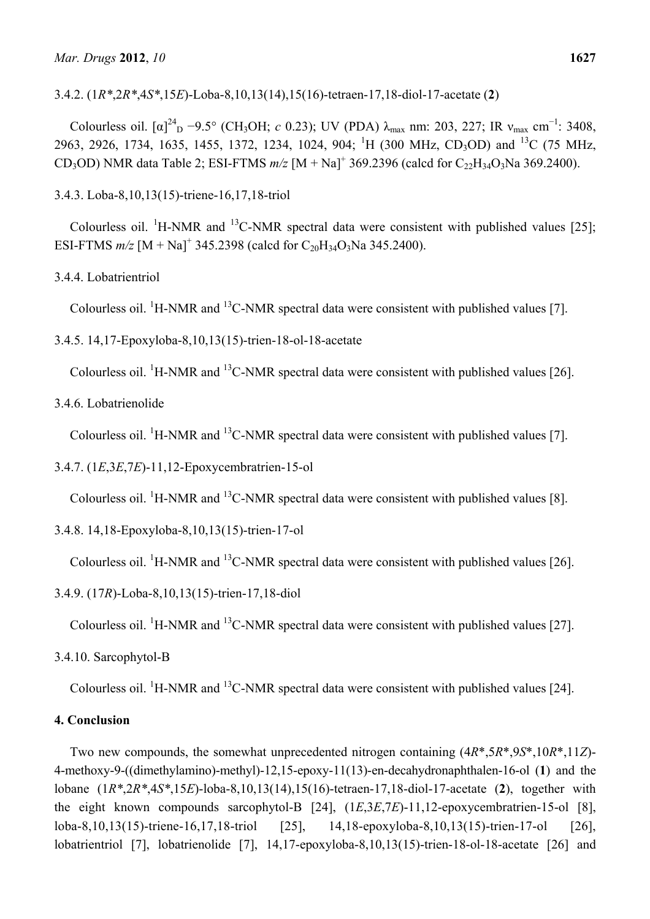3.4.2. (1*R\**,2*R\**,4*S\**,15*E*)-Loba-8,10,13(14),15(16)-tetraen-17,18-diol-17-acetate (**2**)

Colourless oil.  $[\alpha]^{24}$ <sub>D</sub> −9.5° (CH<sub>3</sub>OH; *c* 0.23); UV (PDA)  $\lambda_{\text{max}}$  nm: 203, 227; IR  $v_{\text{max}}$  cm<sup>-1</sup>: 3408, 2963, 2926, 1734, 1635, 1455, 1372, 1234, 1024, 904; <sup>1</sup>H (300 MHz, CD<sub>3</sub>OD) and <sup>13</sup>C (75 MHz, CD<sub>3</sub>OD) NMR data Table 2; ESI-FTMS  $m/z$  [M + Na]<sup>+</sup> 369.2396 (calcd for C<sub>22</sub>H<sub>34</sub>O<sub>3</sub>Na 369.2400).

3.4.3. Loba-8,10,13(15)-triene-16,17,18-triol

Colourless oil. <sup>1</sup>H-NMR and <sup>13</sup>C-NMR spectral data were consistent with published values [25]; ESI-FTMS  $m/z$  [M + Na]<sup>+</sup> 345.2398 (calcd for C<sub>20</sub>H<sub>34</sub>O<sub>3</sub>Na 345.2400).

3.4.4. Lobatrientriol

Colourless oil.  ${}^{1}$ H-NMR and  ${}^{13}$ C-NMR spectral data were consistent with published values [7].

3.4.5. 14,17-Epoxyloba-8,10,13(15)-trien-18-ol-18-acetate

Colourless oil. <sup>1</sup>H-NMR and <sup>13</sup>C-NMR spectral data were consistent with published values [26].

3.4.6. Lobatrienolide

Colourless oil.  ${}^{1}$ H-NMR and  ${}^{13}$ C-NMR spectral data were consistent with published values [7].

3.4.7. (1*E*,3*E*,7*E*)-11,12-Epoxycembratrien-15-ol

Colourless oil.  ${}^{1}$ H-NMR and  ${}^{13}$ C-NMR spectral data were consistent with published values [8].

3.4.8. 14,18-Epoxyloba-8,10,13(15)-trien-17-ol

Colourless oil. <sup>1</sup>H-NMR and <sup>13</sup>C-NMR spectral data were consistent with published values [26].

3.4.9. (17*R*)-Loba-8,10,13(15)-trien-17,18-diol

Colourless oil.  ${}^{1}$ H-NMR and  ${}^{13}$ C-NMR spectral data were consistent with published values [27].

3.4.10. Sarcophytol-B

Colourless oil.  ${}^{1}$ H-NMR and  ${}^{13}$ C-NMR spectral data were consistent with published values [24].

# **4. Conclusion**

Two new compounds, the somewhat unprecedented nitrogen containing (4*R*\*,5*R*\*,9*S*\*,10*R*\*,11*Z*)- 4-methoxy-9-((dimethylamino)-methyl)-12,15-epoxy-11(13)-en-decahydronaphthalen-16-ol (**1**) and the lobane (1*R\**,2*R\**,4*S\**,15*E*)-loba-8,10,13(14),15(16)-tetraen-17,18-diol-17-acetate (**2**), together with the eight known compounds sarcophytol-B [24], (1*E*,3*E*,7*E*)-11,12-epoxycembratrien-15-ol [8], loba-8,10,13(15)-triene-16,17,18-triol [25], 14,18-epoxyloba-8,10,13(15)-trien-17-ol [26], lobatrientriol [7], lobatrienolide [7], 14,17-epoxyloba-8,10,13(15)-trien-18-ol-18-acetate [26] and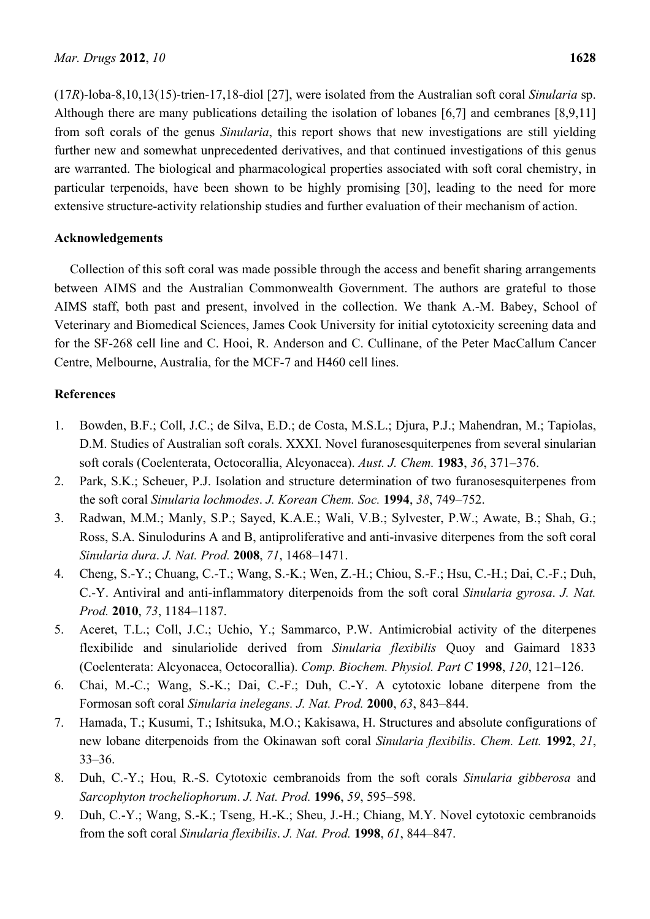(17*R*)-loba-8,10,13(15)-trien-17,18-diol [27], were isolated from the Australian soft coral *Sinularia* sp. Although there are many publications detailing the isolation of lobanes [6,7] and cembranes [8,9,11] from soft corals of the genus *Sinularia*, this report shows that new investigations are still yielding further new and somewhat unprecedented derivatives, and that continued investigations of this genus are warranted. The biological and pharmacological properties associated with soft coral chemistry, in particular terpenoids, have been shown to be highly promising [30], leading to the need for more extensive structure-activity relationship studies and further evaluation of their mechanism of action.

#### **Acknowledgements**

Collection of this soft coral was made possible through the access and benefit sharing arrangements between AIMS and the Australian Commonwealth Government. The authors are grateful to those AIMS staff, both past and present, involved in the collection. We thank A.-M. Babey, School of Veterinary and Biomedical Sciences, James Cook University for initial cytotoxicity screening data and for the SF-268 cell line and C. Hooi, R. Anderson and C. Cullinane, of the Peter MacCallum Cancer Centre, Melbourne, Australia, for the MCF-7 and H460 cell lines.

#### **References**

- 1. Bowden, B.F.; Coll, J.C.; de Silva, E.D.; de Costa, M.S.L.; Djura, P.J.; Mahendran, M.; Tapiolas, D.M. Studies of Australian soft corals. XXXI. Novel furanosesquiterpenes from several sinularian soft corals (Coelenterata, Octocorallia, Alcyonacea). *Aust. J. Chem.* **1983**, *36*, 371–376.
- 2. Park, S.K.; Scheuer, P.J. Isolation and structure determination of two furanosesquiterpenes from the soft coral *Sinularia lochmodes*. *J. Korean Chem. Soc.* **1994**, *38*, 749–752.
- 3. Radwan, M.M.; Manly, S.P.; Sayed, K.A.E.; Wali, V.B.; Sylvester, P.W.; Awate, B.; Shah, G.; Ross, S.A. Sinulodurins A and B, antiproliferative and anti-invasive diterpenes from the soft coral *Sinularia dura*. *J. Nat. Prod.* **2008**, *71*, 1468–1471.
- 4. Cheng, S.-Y.; Chuang, C.-T.; Wang, S.-K.; Wen, Z.-H.; Chiou, S.-F.; Hsu, C.-H.; Dai, C.-F.; Duh, C.-Y. Antiviral and anti-inflammatory diterpenoids from the soft coral *Sinularia gyrosa*. *J. Nat. Prod.* **2010**, *73*, 1184–1187.
- 5. Aceret, T.L.; Coll, J.C.; Uchio, Y.; Sammarco, P.W. Antimicrobial activity of the diterpenes flexibilide and sinulariolide derived from *Sinularia flexibilis* Quoy and Gaimard 1833 (Coelenterata: Alcyonacea, Octocorallia). *Comp. Biochem. Physiol. Part C* **1998**, *120*, 121–126.
- 6. Chai, M.-C.; Wang, S.-K.; Dai, C.-F.; Duh, C.-Y. A cytotoxic lobane diterpene from the Formosan soft coral *Sinularia inelegans. J. Nat. Prod.* **2000**, *63*, 843–844.
- 7. Hamada, T.; Kusumi, T.; Ishitsuka, M.O.; Kakisawa, H. Structures and absolute configurations of new lobane diterpenoids from the Okinawan soft coral *Sinularia flexibilis*. *Chem. Lett.* **1992**, *21*, 33–36.
- 8. Duh, C.-Y.; Hou, R.-S. Cytotoxic cembranoids from the soft corals *Sinularia gibberosa* and *Sarcophyton trocheliophorum*. *J. Nat. Prod.* **1996**, *59*, 595–598.
- 9. Duh, C.-Y.; Wang, S.-K.; Tseng, H.-K.; Sheu, J.-H.; Chiang, M.Y. Novel cytotoxic cembranoids from the soft coral *Sinularia flexibilis*. *J. Nat. Prod.* **1998**, *61*, 844–847.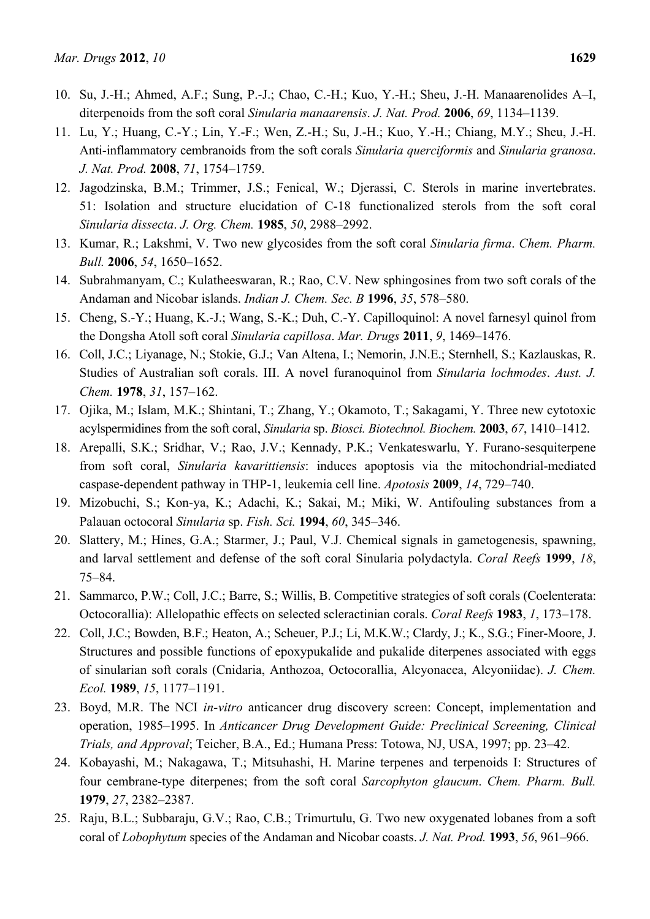- 10. Su, J.-H.; Ahmed, A.F.; Sung, P.-J.; Chao, C.-H.; Kuo, Y.-H.; Sheu, J.-H. Manaarenolides A–I, diterpenoids from the soft coral *Sinularia manaarensis*. *J. Nat. Prod.* **2006**, *69*, 1134–1139.
- 11. Lu, Y.; Huang, C.-Y.; Lin, Y.-F.; Wen, Z.-H.; Su, J.-H.; Kuo, Y.-H.; Chiang, M.Y.; Sheu, J.-H. Anti-inflammatory cembranoids from the soft corals *Sinularia querciformis* and *Sinularia granosa*. *J. Nat. Prod.* **2008**, *71*, 1754–1759.
- 12. Jagodzinska, B.M.; Trimmer, J.S.; Fenical, W.; Djerassi, C. Sterols in marine invertebrates. 51: Isolation and structure elucidation of C-18 functionalized sterols from the soft coral *Sinularia dissecta*. *J. Org. Chem.* **1985**, *50*, 2988–2992.
- 13. Kumar, R.; Lakshmi, V. Two new glycosides from the soft coral *Sinularia firma*. *Chem. Pharm. Bull.* **2006**, *54*, 1650–1652.
- 14. Subrahmanyam, C.; Kulatheeswaran, R.; Rao, C.V. New sphingosines from two soft corals of the Andaman and Nicobar islands. *Indian J. Chem. Sec. B* **1996**, *35*, 578–580.
- 15. Cheng, S.-Y.; Huang, K.-J.; Wang, S.-K.; Duh, C.-Y. Capilloquinol: A novel farnesyl quinol from the Dongsha Atoll soft coral *Sinularia capillosa*. *Mar. Drugs* **2011**, *9*, 1469–1476.
- 16. Coll, J.C.; Liyanage, N.; Stokie, G.J.; Van Altena, I.; Nemorin, J.N.E.; Sternhell, S.; Kazlauskas, R. Studies of Australian soft corals. III. A novel furanoquinol from *Sinularia lochmodes*. *Aust. J. Chem.* **1978**, *31*, 157–162.
- 17. Ojika, M.; Islam, M.K.; Shintani, T.; Zhang, Y.; Okamoto, T.; Sakagami, Y. Three new cytotoxic acylspermidines from the soft coral, *Sinularia* sp. *Biosci. Biotechnol. Biochem.* **2003**, *67*, 1410–1412.
- 18. Arepalli, S.K.; Sridhar, V.; Rao, J.V.; Kennady, P.K.; Venkateswarlu, Y. Furano-sesquiterpene from soft coral, *Sinularia kavarittiensis*: induces apoptosis via the mitochondrial-mediated caspase-dependent pathway in THP-1, leukemia cell line. *Apotosis* **2009**, *14*, 729–740.
- 19. Mizobuchi, S.; Kon-ya, K.; Adachi, K.; Sakai, M.; Miki, W. Antifouling substances from a Palauan octocoral *Sinularia* sp. *Fish. Sci.* **1994**, *60*, 345–346.
- 20. Slattery, M.; Hines, G.A.; Starmer, J.; Paul, V.J. Chemical signals in gametogenesis, spawning, and larval settlement and defense of the soft coral Sinularia polydactyla. *Coral Reefs* **1999**, *18*, 75–84.
- 21. Sammarco, P.W.; Coll, J.C.; Barre, S.; Willis, B. Competitive strategies of soft corals (Coelenterata: Octocorallia): Allelopathic effects on selected scleractinian corals. *Coral Reefs* **1983**, *1*, 173–178.
- 22. Coll, J.C.; Bowden, B.F.; Heaton, A.; Scheuer, P.J.; Li, M.K.W.; Clardy, J.; K., S.G.; Finer-Moore, J. Structures and possible functions of epoxypukalide and pukalide diterpenes associated with eggs of sinularian soft corals (Cnidaria, Anthozoa, Octocorallia, Alcyonacea, Alcyoniidae). *J. Chem. Ecol.* **1989**, *15*, 1177–1191.
- 23. Boyd, M.R. The NCI *in-vitro* anticancer drug discovery screen: Concept, implementation and operation, 1985–1995. In *Anticancer Drug Development Guide: Preclinical Screening, Clinical Trials, and Approval*; Teicher, B.A., Ed.; Humana Press: Totowa, NJ, USA, 1997; pp. 23–42.
- 24. Kobayashi, M.; Nakagawa, T.; Mitsuhashi, H. Marine terpenes and terpenoids I: Structures of four cembrane-type diterpenes; from the soft coral *Sarcophyton glaucum*. *Chem. Pharm. Bull.*  **1979**, *27*, 2382–2387.
- 25. Raju, B.L.; Subbaraju, G.V.; Rao, C.B.; Trimurtulu, G. Two new oxygenated lobanes from a soft coral of *Lobophytum* species of the Andaman and Nicobar coasts. *J. Nat. Prod.* **1993**, *56*, 961–966.